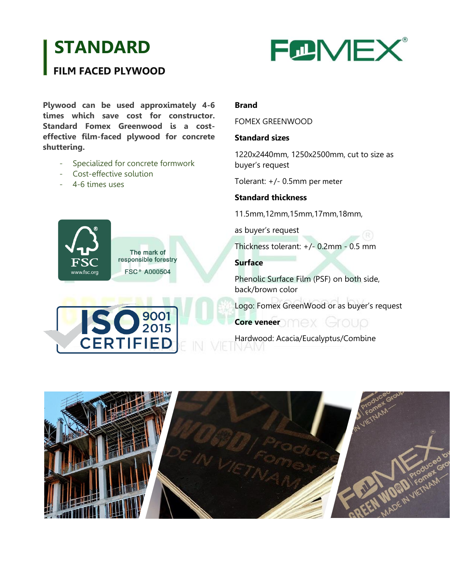# **STANDARD**



## **FILM FACED PLYWOOD**

**Plywood can be used approximately 4-6 times which save cost for constructor. Standard Fomex Greenwood is a costeffective film-faced plywood for concrete shuttering.**

- Specialized for concrete formwork
- Cost-effective solution
- 4-6 times uses



The mark of responsible forestry **FSC<sup>®</sup> A000504** 

0 9001

**CERTIFIED** 

#### **Brand**

FOMEX GREENWOOD

#### **Standard sizes**

1220x2440mm, 1250x2500mm, cut to size as buyer's request

Tolerant: +/- 0.5mm per meter

#### **Standard thickness**

11.5mm,12mm,15mm,17mm,18mm,

as buyer's request

Thickness tolerant: +/- 0.2mm - 0.5 mm

#### **Surface**

Phenolic Surface Film (PSF) on both side, back/brown color

Logo: Fomex GreenWood or as buyer's request

### **Core veneer** DMEX Group

Hardwood: Acacia/Eucalyptus/Combine